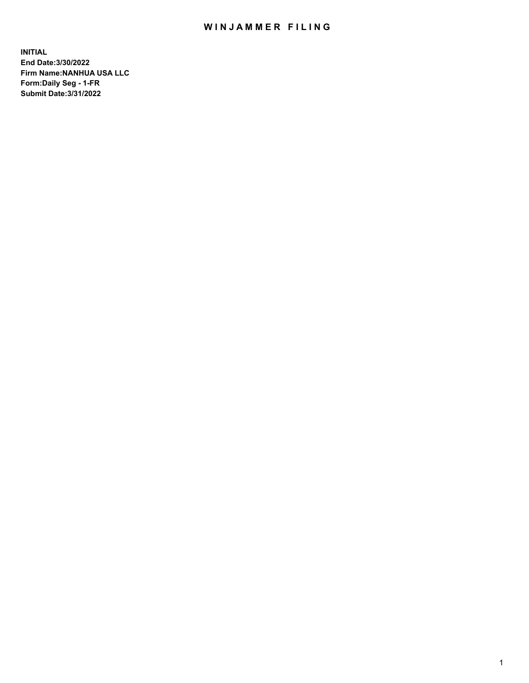# WIN JAMMER FILING

**INITIAL End Date:3/30/2022 Firm Name:NANHUA USA LLC Form:Daily Seg - 1-FR Submit Date:3/31/2022**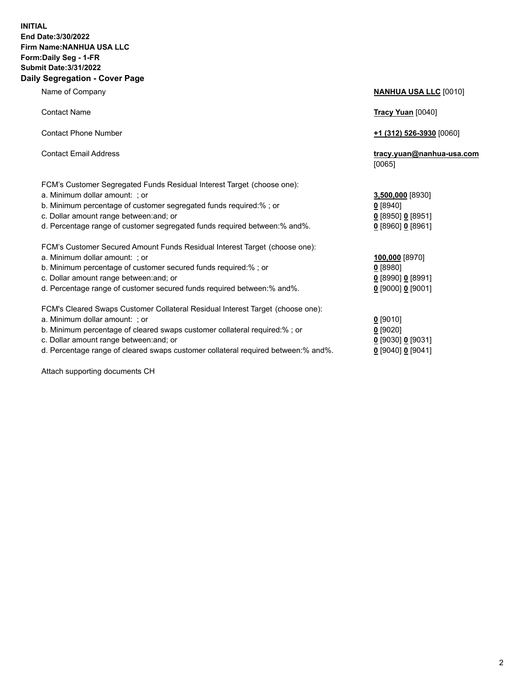### **INITIAL End Date:3/30/2022 Firm Name:NANHUA USA LLC Form:Daily Seg - 1-FR Submit Date:3/31/2022 Daily Segregation - Cover Page**

Name of Company **NANHUA USA LLC** [0010] Contact Name **Tracy Yuan** [0040] Contact Phone Number **+1 (312) 526-3930** [0060] Contact Email Address **tracy.yuan@nanhua-usa.com** [0065] FCM's Customer Segregated Funds Residual Interest Target (choose one): a. Minimum dollar amount: ; or **3,500,000** [8930] b. Minimum percentage of customer segregated funds required:% ; or **0** [8940] c. Dollar amount range between:and; or **0** [8950] **0** [8951] d. Percentage range of customer segregated funds required between:% and%. **0** [8960] **0** [8961] FCM's Customer Secured Amount Funds Residual Interest Target (choose one): a. Minimum dollar amount: ; or **100,000** [8970] b. Minimum percentage of customer secured funds required:% ; or **0** [8980] c. Dollar amount range between:and; or **0** [8990] **0** [8991] d. Percentage range of customer secured funds required between:% and%. **0** [9000] **0** [9001] FCM's Cleared Swaps Customer Collateral Residual Interest Target (choose one): a. Minimum dollar amount: ; or **0** [9010] b. Minimum percentage of cleared swaps customer collateral required:% ; or **0** [9020] c. Dollar amount range between:and; or **0** [9030] **0** [9031]

d. Percentage range of cleared swaps customer collateral required between:% and%. **0** [9040] **0** [9041]

Attach supporting documents CH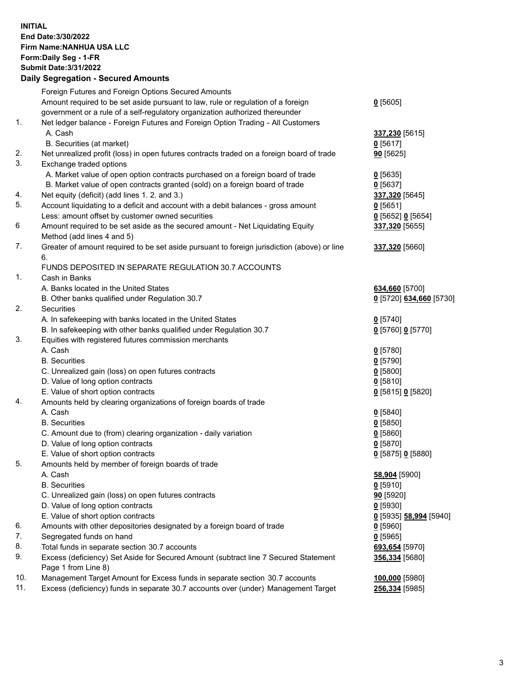**INITIAL End Date:3/30/2022 Firm Name:NANHUA USA LLC Form:Daily Seg - 1-FR Submit Date:3/31/2022**

### **Daily Segregation - Secured Amounts**

|     | Foreign Futures and Foreign Options Secured Amounts                                                  |                                      |
|-----|------------------------------------------------------------------------------------------------------|--------------------------------------|
|     | Amount required to be set aside pursuant to law, rule or regulation of a foreign                     | $0$ [5605]                           |
|     | government or a rule of a self-regulatory organization authorized thereunder                         |                                      |
| 1.  | Net ledger balance - Foreign Futures and Foreign Option Trading - All Customers                      |                                      |
|     | A. Cash                                                                                              | 337,230 [5615]                       |
|     | B. Securities (at market)                                                                            | 0[5617]                              |
| 2.  | Net unrealized profit (loss) in open futures contracts traded on a foreign board of trade            | 90 [5625]                            |
| 3.  | Exchange traded options                                                                              |                                      |
|     | A. Market value of open option contracts purchased on a foreign board of trade                       | $0$ [5635]                           |
|     | B. Market value of open contracts granted (sold) on a foreign board of trade                         | $0$ [5637]                           |
| 4.  | Net equity (deficit) (add lines 1. 2. and 3.)                                                        | 337,320 [5645]                       |
| 5.  | Account liquidating to a deficit and account with a debit balances - gross amount                    | $0$ [5651]                           |
|     | Less: amount offset by customer owned securities                                                     | 0 [5652] 0 [5654]                    |
| 6   | Amount required to be set aside as the secured amount - Net Liquidating Equity                       | 337,320 [5655]                       |
|     | Method (add lines 4 and 5)                                                                           |                                      |
| 7.  | Greater of amount required to be set aside pursuant to foreign jurisdiction (above) or line          | 337,320 [5660]                       |
|     | 6.                                                                                                   |                                      |
|     | FUNDS DEPOSITED IN SEPARATE REGULATION 30.7 ACCOUNTS                                                 |                                      |
| 1.  | Cash in Banks                                                                                        |                                      |
|     | A. Banks located in the United States                                                                | 634,660 [5700]                       |
|     | B. Other banks qualified under Regulation 30.7                                                       | 0 [5720] 634,660 [5730]              |
| 2.  | Securities                                                                                           |                                      |
|     | A. In safekeeping with banks located in the United States                                            | $0$ [5740]                           |
|     | B. In safekeeping with other banks qualified under Regulation 30.7                                   | 0 [5760] 0 [5770]                    |
| 3.  | Equities with registered futures commission merchants                                                |                                      |
|     | A. Cash                                                                                              | $0$ [5780]                           |
|     | <b>B.</b> Securities                                                                                 | $0$ [5790]                           |
|     | C. Unrealized gain (loss) on open futures contracts                                                  | $0$ [5800]                           |
|     | D. Value of long option contracts                                                                    | 0[5810]                              |
|     | E. Value of short option contracts                                                                   | 0 [5815] 0 [5820]                    |
| 4.  | Amounts held by clearing organizations of foreign boards of trade                                    |                                      |
|     | A. Cash                                                                                              | $0$ [5840]                           |
|     | <b>B.</b> Securities                                                                                 | $0$ [5850]                           |
|     |                                                                                                      | $0$ [5860]                           |
|     | C. Amount due to (from) clearing organization - daily variation<br>D. Value of long option contracts |                                      |
|     | E. Value of short option contracts                                                                   | $0$ [5870]                           |
| 5.  |                                                                                                      | 0 [5875] 0 [5880]                    |
|     | Amounts held by member of foreign boards of trade                                                    |                                      |
|     | A. Cash                                                                                              | 58,904 [5900]                        |
|     | <b>B.</b> Securities                                                                                 | $0$ [5910]                           |
|     | C. Unrealized gain (loss) on open futures contracts                                                  | 90 [5920]                            |
|     | D. Value of long option contracts                                                                    | $0$ [5930]                           |
|     | E. Value of short option contracts                                                                   | <u>0</u> [5935] <b>58,994</b> [5940] |
| 6.  | Amounts with other depositories designated by a foreign board of trade                               | $0$ [5960]                           |
| 7.  | Segregated funds on hand                                                                             | $0$ [5965]                           |
| 8.  | Total funds in separate section 30.7 accounts                                                        | 693,654 [5970]                       |
| 9.  | Excess (deficiency) Set Aside for Secured Amount (subtract line 7 Secured Statement                  | 356,334 [5680]                       |
|     | Page 1 from Line 8)                                                                                  |                                      |
| 10. | Management Target Amount for Excess funds in separate section 30.7 accounts                          | 100,000 [5980]                       |
| 11. | Excess (deficiency) funds in separate 30.7 accounts over (under) Management Target                   | 256,334 [5985]                       |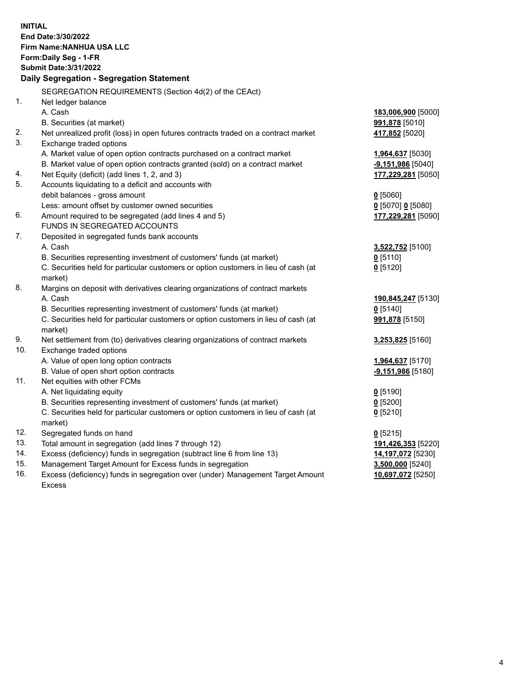**INITIAL End Date:3/30/2022 Firm Name:NANHUA USA LLC Form:Daily Seg - 1-FR Submit Date:3/31/2022 Daily Segregation - Segregation Statement** SEGREGATION REQUIREMENTS (Section 4d(2) of the CEAct) 1. Net ledger balance A. Cash **183,006,900** [5000] B. Securities (at market) **991,878** [5010] 2. Net unrealized profit (loss) in open futures contracts traded on a contract market **417,852** [5020] 3. Exchange traded options A. Market value of open option contracts purchased on a contract market **1,964,637** [5030] B. Market value of open option contracts granted (sold) on a contract market **-9,151,986** [5040] 4. Net Equity (deficit) (add lines 1, 2, and 3) **177,229,281** [5050] 5. Accounts liquidating to a deficit and accounts with debit balances - gross amount **0** [5060] Less: amount offset by customer owned securities **0** [5070] **0** [5080] 6. Amount required to be segregated (add lines 4 and 5) **177,229,281** [5090] FUNDS IN SEGREGATED ACCOUNTS 7. Deposited in segregated funds bank accounts A. Cash **3,522,752** [5100] B. Securities representing investment of customers' funds (at market) **0** [5110] C. Securities held for particular customers or option customers in lieu of cash (at market) **0** [5120] 8. Margins on deposit with derivatives clearing organizations of contract markets A. Cash **190,845,247** [5130] B. Securities representing investment of customers' funds (at market) **0** [5140] C. Securities held for particular customers or option customers in lieu of cash (at market) **991,878** [5150] 9. Net settlement from (to) derivatives clearing organizations of contract markets **3,253,825** [5160] 10. Exchange traded options A. Value of open long option contracts **1,964,637** [5170] B. Value of open short option contracts **-9,151,986** [5180] 11. Net equities with other FCMs A. Net liquidating equity **0** [5190] B. Securities representing investment of customers' funds (at market) **0** [5200] C. Securities held for particular customers or option customers in lieu of cash (at market) **0** [5210] 12. Segregated funds on hand **0** [5215] 13. Total amount in segregation (add lines 7 through 12) **191,426,353** [5220] 14. Excess (deficiency) funds in segregation (subtract line 6 from line 13) **14,197,072** [5230] 15. Management Target Amount for Excess funds in segregation **3,500,000** [5240] 16. Excess (deficiency) funds in segregation over (under) Management Target Amount Excess **10,697,072** [5250]